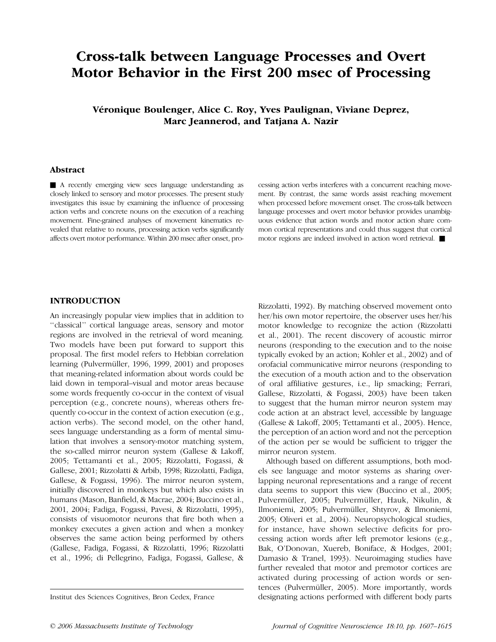# Cross-talk between Language Processes and Overt Motor Behavior in the First 200 msec of Processing

Véronique Boulenger, Alice C. Roy, Yves Paulignan, Viviane Deprez, Marc Jeannerod, and Tatjana A. Nazir

## Abstract

& A recently emerging view sees language understanding as closely linked to sensory and motor processes. The present study investigates this issue by examining the influence of processing action verbs and concrete nouns on the execution of a reaching movement. Fine-grained analyses of movement kinematics revealed that relative to nouns, processing action verbs significantly affects overt motor performance. Within 200 msec after onset, processing action verbs interferes with a concurrent reaching movement. By contrast, the same words assist reaching movement when processed before movement onset. The cross-talk between language processes and overt motor behavior provides unambiguous evidence that action words and motor action share common cortical representations and could thus suggest that cortical motor regions are indeed involved in action word retrieval.  $\blacksquare$ 

# INTRODUCTION

An increasingly popular view implies that in addition to ''classical'' cortical language areas, sensory and motor regions are involved in the retrieval of word meaning. Two models have been put forward to support this proposal. The first model refers to Hebbian correlation learning (Pulvermüller, 1996, 1999, 2001) and proposes that meaning-related information about words could be laid down in temporal–visual and motor areas because some words frequently co-occur in the context of visual perception (e.g., concrete nouns), whereas others frequently co-occur in the context of action execution (e.g., action verbs). The second model, on the other hand, sees language understanding as a form of mental simulation that involves a sensory-motor matching system, the so-called mirror neuron system (Gallese & Lakoff, 2005; Tettamanti et al., 2005; Rizzolatti, Fogassi, & Gallese, 2001; Rizzolatti & Arbib, 1998; Rizzolatti, Fadiga, Gallese, & Fogassi, 1996). The mirror neuron system, initially discovered in monkeys but which also exists in humans (Mason, Banfield, & Macrae, 2004; Buccino et al., 2001, 2004; Fadiga, Fogassi, Pavesi, & Rizzolatti, 1995), consists of visuomotor neurons that fire both when a monkey executes a given action and when a monkey observes the same action being performed by others (Gallese, Fadiga, Fogassi, & Rizzolatti, 1996; Rizzolatti et al., 1996; di Pellegrino, Fadiga, Fogassi, Gallese, &

Rizzolatti, 1992). By matching observed movement onto her/his own motor repertoire, the observer uses her/his motor knowledge to recognize the action (Rizzolatti et al., 2001). The recent discovery of acoustic mirror neurons (responding to the execution and to the noise typically evoked by an action; Kohler et al., 2002) and of orofacial communicative mirror neurons (responding to the execution of a mouth action and to the observation of oral affiliative gestures, i.e., lip smacking; Ferrari, Gallese, Rizzolatti, & Fogassi, 2003) have been taken to suggest that the human mirror neuron system may code action at an abstract level, accessible by language (Gallese & Lakoff, 2005; Tettamanti et al., 2005). Hence, the perception of an action word and not the perception of the action per se would be sufficient to trigger the mirror neuron system.

Although based on different assumptions, both models see language and motor systems as sharing overlapping neuronal representations and a range of recent data seems to support this view (Buccino et al., 2005; Pulvermüller, 2005; Pulvermüller, Hauk, Nikulin, & Ilmoniemi, 2005; Pulvermüller, Shtyrov, & Ilmoniemi, 2005; Oliveri et al., 2004). Neuropsychological studies, for instance, have shown selective deficits for processing action words after left premotor lesions (e.g., Bak, O'Donovan, Xuereb, Boniface, & Hodges, 2001; Damasio & Tranel, 1993). Neuroimaging studies have further revealed that motor and premotor cortices are activated during processing of action words or sentences (Pulvermüller, 2005). More importantly, words Institut des Sciences Cognitives, Bron Cedex, France designating actions performed with different body parts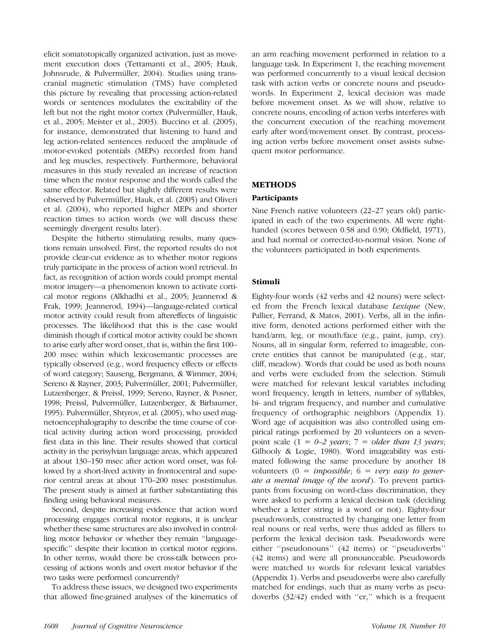elicit somatotopically organized activation, just as movement execution does (Tettamanti et al., 2005; Hauk, Johnsrude, & Pulvermüller, 2004). Studies using transcranial magnetic stimulation (TMS) have completed this picture by revealing that processing action-related words or sentences modulates the excitability of the left but not the right motor cortex (Pulvermüller, Hauk, et al., 2005; Meister et al., 2003). Buccino et al. (2005), for instance, demonstrated that listening to hand and leg action-related sentences reduced the amplitude of motor-evoked potentials (MEPs) recorded from hand and leg muscles, respectively. Furthermore, behavioral measures in this study revealed an increase of reaction time when the motor response and the words called the same effector. Related but slightly different results were observed by Pulvermüller, Hauk, et al. (2005) and Oliveri et al. (2004), who reported higher MEPs and shorter reaction times to action words (we will discuss these seemingly divergent results later).

Despite the hitherto stimulating results, many questions remain unsolved. First, the reported results do not provide clear-cut evidence as to whether motor regions truly participate in the process of action word retrieval. In fact, as recognition of action words could prompt mental motor imagery—a phenomenon known to activate cortical motor regions (Alkhadhi et al., 2005; Jeannerod & Frak, 1999; Jeannerod, 1994)—language-related cortical motor activity could result from aftereffects of linguistic processes. The likelihood that this is the case would diminish though if cortical motor activity could be shown to arise early after word onset, that is, within the first 100– 200 msec within which lexicosemantic processes are typically observed (e.g., word frequency effects or effects of word category; Sauseng, Bergmann, & Wimmer, 2004; Sereno & Rayner, 2003; Pulvermüller, 2001; Pulvermüller, Lutzenberger, & Preissl, 1999; Sereno, Rayner, & Posner, 1998; Preissl, Pulvermüller, Lutzenberger, & Birbaumer, 1995). Pulvermüller, Shtyrov, et al. (2005), who used magnetoencephalography to describe the time course of cortical activity during action word processing, provided first data in this line. Their results showed that cortical activity in the perisylvian language areas, which appeared at about 130–150 msec after action word onset, was followed by a short-lived activity in frontocentral and superior central areas at about 170–200 msec poststimulus. The present study is aimed at further substantiating this finding using behavioral measures.

Second, despite increasing evidence that action word processing engages cortical motor regions, it is unclear whether these same structures are also involved in controlling motor behavior or whether they remain ''languagespecific'' despite their location in cortical motor regions. In other terms, would there be cross-talk between processing of actions words and overt motor behavior if the two tasks were performed concurrently?

To address these issues, we designed two experiments that allowed fine-grained analyses of the kinematics of an arm reaching movement performed in relation to a language task. In Experiment 1, the reaching movement was performed concurrently to a visual lexical decision task with action verbs or concrete nouns and pseudowords. In Experiment 2, lexical decision was made before movement onset. As we will show, relative to concrete nouns, encoding of action verbs interferes with the concurrent execution of the reaching movement early after word/movement onset. By contrast, processing action verbs before movement onset assists subsequent motor performance.

# METHODS

# Participants

Nine French native volunteers (22–27 years old) participated in each of the two experiments. All were righthanded (scores between 0.58 and 0.90; Oldfield, 1971), and had normal or corrected-to-normal vision. None of the volunteers participated in both experiments.

# Stimuli

Eighty-four words (42 verbs and 42 nouns) were selected from the French lexical database Lexique (New, Pallier, Ferrand, & Matos, 2001). Verbs, all in the infinitive form, denoted actions performed either with the hand/arm, leg, or mouth/face (e.g., paint, jump, cry). Nouns, all in singular form, referred to imageable, concrete entities that cannot be manipulated (e.g., star, cliff, meadow). Words that could be used as both nouns and verbs were excluded from the selection. Stimuli were matched for relevant lexical variables including word frequency, length in letters, number of syllables, bi- and trigram frequency, and number and cumulative frequency of orthographic neighbors (Appendix 1). Word age of acquisition was also controlled using empirical ratings performed by 20 volunteers on a sevenpoint scale  $(1 = 0-2 \text{ years}; 7 = older than 13 \text{ years};$ Gilhooly & Logie, 1980). Word imageability was estimated following the same procedure by another 18 volunteers  $(0 = \text{impossible}; 6 = \text{very easy to gener-}$ ate a mental image of the word). To prevent participants from focusing on word-class discrimination, they were asked to perform a lexical decision task (deciding whether a letter string is a word or not). Eighty-four pseudowords, constructed by changing one letter from real nouns or real verbs, were thus added as fillers to perform the lexical decision task. Pseudowords were either ''pseudonouns'' (42 items) or ''pseudoverbs'' (42 items) and were all pronounceable. Pseudowords were matched to words for relevant lexical variables (Appendix 1). Verbs and pseudoverbs were also carefully matched for endings, such that as many verbs as pseudoverbs (32/42) ended with ''er,'' which is a frequent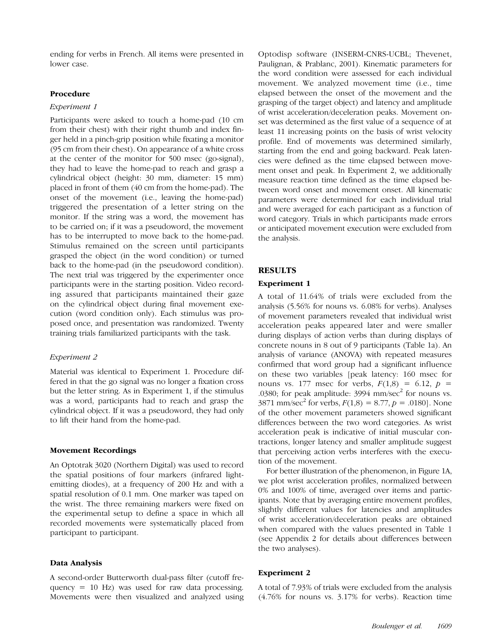ending for verbs in French. All items were presented in lower case.

## Procedure

## Experiment 1

Participants were asked to touch a home-pad (10 cm from their chest) with their right thumb and index finger held in a pinch-grip position while fixating a monitor (95 cm from their chest). On appearance of a white cross at the center of the monitor for 500 msec (go-signal), they had to leave the home-pad to reach and grasp a cylindrical object (height: 30 mm, diameter: 15 mm) placed in front of them (40 cm from the home-pad). The onset of the movement (i.e., leaving the home-pad) triggered the presentation of a letter string on the monitor. If the string was a word, the movement has to be carried on; if it was a pseudoword, the movement has to be interrupted to move back to the home-pad. Stimulus remained on the screen until participants grasped the object (in the word condition) or turned back to the home-pad (in the pseudoword condition). The next trial was triggered by the experimenter once participants were in the starting position. Video recording assured that participants maintained their gaze on the cylindrical object during final movement execution (word condition only). Each stimulus was proposed once, and presentation was randomized. Twenty training trials familiarized participants with the task.

## Experiment 2

Material was identical to Experiment 1. Procedure differed in that the go signal was no longer a fixation cross but the letter string. As in Experiment 1, if the stimulus was a word, participants had to reach and grasp the cylindrical object. If it was a pseudoword, they had only to lift their hand from the home-pad.

#### Movement Recordings

An Optotrak 3020 (Northern Digital) was used to record the spatial positions of four markers (infrared lightemitting diodes), at a frequency of 200 Hz and with a spatial resolution of 0.1 mm. One marker was taped on the wrist. The three remaining markers were fixed on the experimental setup to define a space in which all recorded movements were systematically placed from participant to participant.

# Data Analysis

A second-order Butterworth dual-pass filter (cutoff frequency = 10 Hz) was used for raw data processing. Movements were then visualized and analyzed using Optodisp software (INSERM-CNRS-UCBL; Thevenet, Paulignan, & Prablanc, 2001). Kinematic parameters for the word condition were assessed for each individual movement. We analyzed movement time (i.e., time elapsed between the onset of the movement and the grasping of the target object) and latency and amplitude of wrist acceleration/deceleration peaks. Movement onset was determined as the first value of a sequence of at least 11 increasing points on the basis of wrist velocity profile. End of movements was determined similarly, starting from the end and going backward. Peak latencies were defined as the time elapsed between movement onset and peak. In Experiment 2, we additionally measure reaction time defined as the time elapsed between word onset and movement onset. All kinematic parameters were determined for each individual trial and were averaged for each participant as a function of word category. Trials in which participants made errors or anticipated movement execution were excluded from the analysis.

## RESULTS

#### Experiment 1

A total of 11.64% of trials were excluded from the analysis (5.56% for nouns vs. 6.08% for verbs). Analyses of movement parameters revealed that individual wrist acceleration peaks appeared later and were smaller during displays of action verbs than during displays of concrete nouns in 8 out of 9 participants (Table 1a). An analysis of variance (ANOVA) with repeated measures confirmed that word group had a significant influence on these two variables [peak latency: 160 msec for nouns vs. 177 msec for verbs,  $F(1,8) = 6.12$ ,  $p =$ .0380; for peak amplitude:  $3994$  mm/sec<sup>2</sup> for nouns vs.  $3871$  mm/sec<sup>2</sup> for verbs,  $F(1,8) = 8.77$ ,  $p = .0180$ . None of the other movement parameters showed significant differences between the two word categories. As wrist acceleration peak is indicative of initial muscular contractions, longer latency and smaller amplitude suggest that perceiving action verbs interferes with the execution of the movement.

For better illustration of the phenomenon, in Figure 1A, we plot wrist acceleration profiles, normalized between 0% and 100% of time, averaged over items and participants. Note that by averaging entire movement profiles, slightly different values for latencies and amplitudes of wrist acceleration/deceleration peaks are obtained when compared with the values presented in Table 1 (see Appendix 2 for details about differences between the two analyses).

#### Experiment 2

A total of 7.93% of trials were excluded from the analysis (4.76% for nouns vs. 3.17% for verbs). Reaction time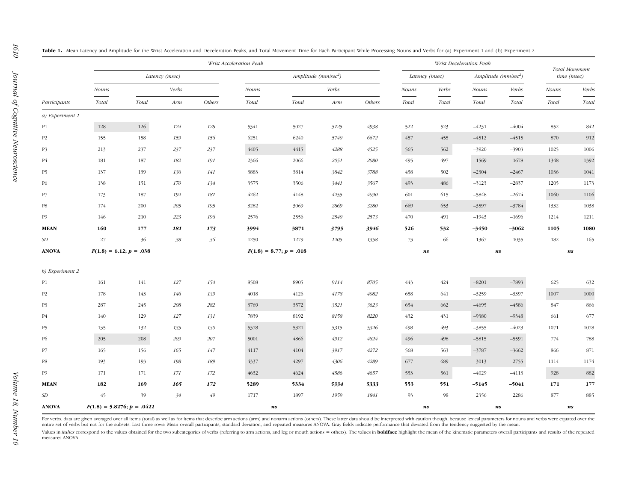|                 |                              | Wrist Acceleration Peak   |       |        |                           |       |       |                                | Wrist Deceleration Peak |                                |                         |                                |                               |       |  |
|-----------------|------------------------------|---------------------------|-------|--------|---------------------------|-------|-------|--------------------------------|-------------------------|--------------------------------|-------------------------|--------------------------------|-------------------------------|-------|--|
|                 | Latency (msec)               |                           |       |        | Amplitude $(mm/sec2)$     |       |       |                                | Latency (msec)          |                                | Amplitude ( $mm/sec2$ ) |                                | Total Movement<br>time (msec) |       |  |
|                 | Nouns                        |                           | Verbs |        | Nouns                     |       | Verbs |                                | <b>Nouns</b>            | Verbs                          | <b>Nouns</b>            | Verbs                          | <b>Nouns</b>                  | Verbs |  |
| Participants    | Total                        | Total                     | Arm   | Others | Total                     | Total | Arm   | Others                         | Total                   | Total                          | Total                   | Total                          | Total                         | Total |  |
| a) Experiment 1 |                              |                           |       |        |                           |       |       |                                |                         |                                |                         |                                |                               |       |  |
| P1              | 128                          | 126                       | 124   | 128    | 5341                      | 5027  | 5125  | 4938                           | 522                     | 523                            | $-4231$                 | $-4004$                        | 852                           | 842   |  |
| P <sub>2</sub>  | 155                          | 158                       | 159   | 156    | 6251                      | 6240  | 5740  | 6672                           | 457                     | 455                            | $-4512$                 | $-4515$                        | 870                           | 912   |  |
| <b>P3</b>       | 213                          | 237                       | 237   | 237    | 4405                      | 4415  | 4288  | 4525                           | 565                     | 562                            | $-3920$                 | $-3903$                        | 1025                          | 1006  |  |
| <b>P4</b>       | 181                          | 187                       | 182   | 191    | 2366                      | 2066  | 2051  | 2080                           | 495                     | 497                            | $-1569$                 | $-1678$                        | 1348                          | 1392  |  |
| P5              | 137                          | 139                       | 136   | 141    | 3883                      | 3814  | 3842  | 3788                           | 458                     | 502                            | $-2304$                 | $-2467$                        | 1036                          | 1041  |  |
| <b>P6</b>       | 138                          | 151                       | 170   | 134    | 3575                      | 3506  | 3441  | 3567                           | 493                     | 486                            | $-3123$                 | $-2837$                        | 1205                          | 1173  |  |
| P7              | 173                          | 187                       | 192   | 181    | 4262                      | 4148  | 4255  | 4090                           | 601                     | 615                            | $-5848$                 | $-2674$                        | 1060                          | 1106  |  |
| $_{\rm PS}$     | 174                          | 200                       | 205   | 195    | 3282                      | 3069  | 2869  | 3280                           | 669                     | 653                            | $-3597$                 | $-3784$                        | 1332                          | 1038  |  |
| <b>P9</b>       | 146                          | 210                       | 223   | 196    | 2576                      | 2556  | 2540  | 2573                           | 470                     | 491                            | $-1943$                 | $-1696$                        | 1214                          | 1211  |  |
| <b>MEAN</b>     | 160                          | 177                       | 181   | 173    | 3994                      | 3871  | 3795  | 3946                           | 526                     | 532                            | $-3450$                 | $-3062$                        | 1105                          | 1080  |  |
| $\cal SD$       | 27                           | 36                        | 38    | 36     | 1250                      | 1279  | 1205  | 1358                           | 73                      | 66                             | 1367                    | 1035                           | 182                           | 165   |  |
| <b>ANOVA</b>    |                              | $F(1.8) = 6.12; p = .038$ |       |        | $F(1.8) = 8.77; p = .018$ |       |       | $\boldsymbol{n}\boldsymbol{s}$ |                         | $\boldsymbol{n}\boldsymbol{s}$ |                         | $\boldsymbol{n}\boldsymbol{s}$ |                               |       |  |
|                 |                              |                           |       |        |                           |       |       |                                |                         |                                |                         |                                |                               |       |  |
| b) Experiment 2 |                              |                           |       |        |                           |       |       |                                |                         |                                |                         |                                |                               |       |  |
| P <sub>1</sub>  | 161                          | 141                       | 127   | 154    | 8508                      | 8905  | 9114  | 8705                           | 443                     | 424                            | $-8201$                 | $-7893$                        | 625                           | 632   |  |
| P <sub>2</sub>  | 178                          | 143                       | 146   | 139    | 4018                      | 4126  | 4178  | 4082                           | 658                     | 641                            | $-3259$                 | $-3397$                        | 1007                          | 1000  |  |
| <b>P3</b>       | 287                          | 245                       | 208   | 282    | 3769                      | 3572  | 3521  | 3623                           | 654                     | 662                            | $-4695$                 | $-4586$                        | 847                           | 866   |  |
| <b>P4</b>       | 140                          | 129                       | 127   | 131    | 7839                      | 8192  | 8158  | 8220                           | 432                     | 431                            | $-9380$                 | $-9348$                        | 661                           | 677   |  |
| P5              | 135                          | 132                       | 135   | 130    | 5378                      | 5321  | 5315  | 5326                           | 498                     | 493                            | $-3855$                 | $-4023$                        | 1071                          | 1078  |  |
| <b>P6</b>       | 205                          | 208                       | 209   | 207    | 5001                      | 4866  | 4912  | 4824                           | 496                     | 498                            | $-5815$                 | $-5591$                        | 774                           | 788   |  |
| P7              | 165                          | 156                       | 165   | 147    | 4117                      | 4104  | 3917  | 4272                           | 568                     | 563                            | $-3787$                 | $-3662$                        | 866                           | 871   |  |
| $_{\rm PS}$     | 193                          | 193                       | 198   | 189    | 4337                      | 4297  | 4306  | 4289                           | 677                     | 689                            | $-3013$                 | $-2755$                        | 1114                          | 1174  |  |
| P <sub>9</sub>  | 171                          | 171                       | 171   | 172    | 4632                      | 4624  | 4586  | 4657                           | 553                     | 561                            | $-4029$                 | $-4113$                        | 928                           | 882   |  |
| <b>MEAN</b>     | 182                          | 169                       | 165   | 172    | 5289                      | 5334  | 5334  | 5333                           | 553                     | 551                            | $-5145$                 | $-5041$                        | 171                           | 177   |  |
| SD              | 45                           | 39                        | 34    | 49     | 1717                      | 1897  | 1959  | 1841                           | 93                      | 98                             | 2356                    | 2286                           | 877                           | 885   |  |
| <b>ANOVA</b>    | $F(1.8) = 5.8276; p = .0422$ |                           |       |        | ns                        |       |       |                                | ns                      |                                |                         | ns                             |                               | ns    |  |

Table 1. Mean Latency and Amplitude for the Wrist Acceleration and Deceleration Peaks, and Total Movement Time for Each Participant While Processing Nouns and Verbs for (a) Experiment 1 and (b) Experiment 2

For verbs, data are given averaged over all items (total) as well as for items that describe arm actions (arm) and nonarm actions (others). These latter data should be interpreted with caution though, because lexical param entire set of verbs but not for the subsets. Last three rows: Mean overall participants, standard deviation, and repeated measures ANOVA. Gray fields indicate performance that deviated from the tendency suggested by the me

Values in *italics* correspond to the values obtained for the two subcategories of verbs (referring to arm actions, and leg or mouth actions = others). The values in **boldface** highlight the mean of the kinematic parameter measures ANOVA.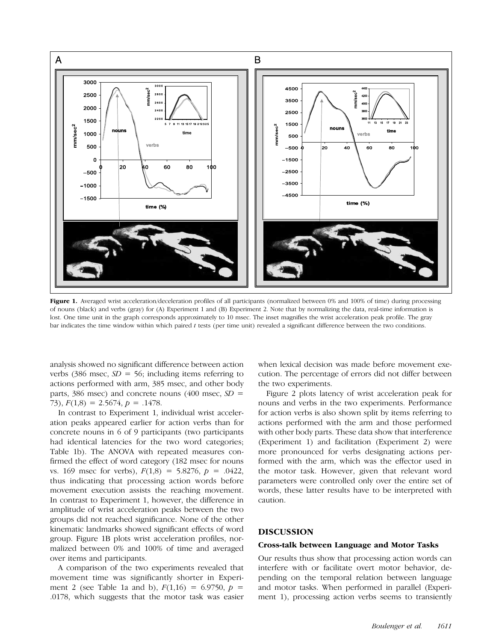

Figure 1. Averaged wrist acceleration/deceleration profiles of all participants (normalized between 0% and 100% of time) during processing of nouns (black) and verbs (gray) for (A) Experiment 1 and (B) Experiment 2. Note that by normalizing the data, real-time information is lost. One time unit in the graph corresponds approximately to 10 msec. The inset magnifies the wrist acceleration peak profile. The gray bar indicates the time window within which paired t tests (per time unit) revealed a significant difference between the two conditions.

analysis showed no significant difference between action verbs (386 msec,  $SD = 56$ ; including items referring to actions performed with arm, 385 msec, and other body parts, 386 msec) and concrete nouns (400 msec,  $SD =$ 73),  $F(1,8) = 2.5674$ ,  $p = .1478$ .

In contrast to Experiment 1, individual wrist acceleration peaks appeared earlier for action verbs than for concrete nouns in 6 of 9 participants (two participants had identical latencies for the two word categories; Table 1b). The ANOVA with repeated measures confirmed the effect of word category (182 msec for nouns vs. 169 msec for verbs),  $F(1,8) = 5.8276$ ,  $p = .0422$ , thus indicating that processing action words before movement execution assists the reaching movement. In contrast to Experiment 1, however, the difference in amplitude of wrist acceleration peaks between the two groups did not reached significance. None of the other kinematic landmarks showed significant effects of word group. Figure 1B plots wrist acceleration profiles, normalized between 0% and 100% of time and averaged over items and participants.

A comparison of the two experiments revealed that movement time was significantly shorter in Experiment 2 (see Table 1a and b),  $F(1,16) = 6.9750$ ,  $p =$ .0178, which suggests that the motor task was easier when lexical decision was made before movement execution. The percentage of errors did not differ between the two experiments.

Figure 2 plots latency of wrist acceleration peak for nouns and verbs in the two experiments. Performance for action verbs is also shown split by items referring to actions performed with the arm and those performed with other body parts. These data show that interference (Experiment 1) and facilitation (Experiment 2) were more pronounced for verbs designating actions performed with the arm, which was the effector used in the motor task. However, given that relevant word parameters were controlled only over the entire set of words, these latter results have to be interpreted with caution.

# DISCUSSION

#### Cross-talk between Language and Motor Tasks

Our results thus show that processing action words can interfere with or facilitate overt motor behavior, depending on the temporal relation between language and motor tasks. When performed in parallel (Experiment 1), processing action verbs seems to transiently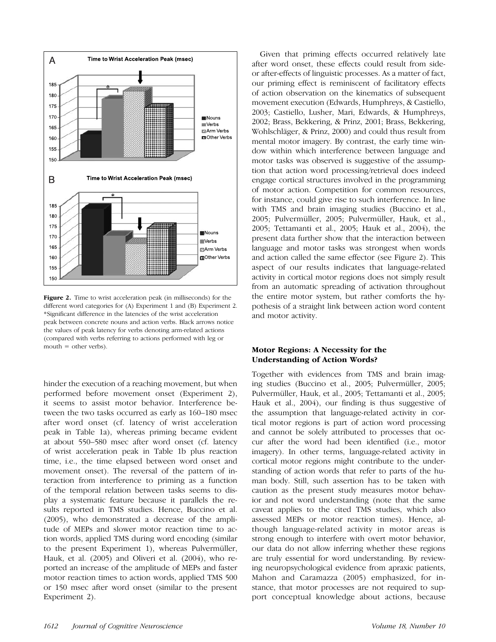

Figure 2. Time to wrist acceleration peak (in milliseconds) for the different word categories for (A) Experiment 1 and (B) Experiment 2. \*Significant difference in the latencies of the wrist acceleration peak between concrete nouns and action verbs. Black arrows notice the values of peak latency for verbs denoting arm-related actions (compared with verbs referring to actions performed with leg or mouth  $=$  other verbs).

hinder the execution of a reaching movement, but when performed before movement onset (Experiment 2), it seems to assist motor behavior. Interference between the two tasks occurred as early as 160–180 msec after word onset (cf. latency of wrist acceleration peak in Table 1a), whereas priming became evident at about 550–580 msec after word onset (cf. latency of wrist acceleration peak in Table 1b plus reaction time, i.e., the time elapsed between word onset and movement onset). The reversal of the pattern of interaction from interference to priming as a function of the temporal relation between tasks seems to display a systematic feature because it parallels the results reported in TMS studies. Hence, Buccino et al. (2005), who demonstrated a decrease of the amplitude of MEPs and slower motor reaction time to action words, applied TMS during word encoding (similar to the present Experiment 1), whereas Pulvermüller, Hauk, et al. (2005) and Oliveri et al. (2004), who reported an increase of the amplitude of MEPs and faster motor reaction times to action words, applied TMS 500 or 150 msec after word onset (similar to the present Experiment 2).

Given that priming effects occurred relatively late after word onset, these effects could result from sideor after-effects of linguistic processes. As a matter of fact, our priming effect is reminiscent of facilitatory effects of action observation on the kinematics of subsequent movement execution (Edwards, Humphreys, & Castiello, 2003; Castiello, Lusher, Mari, Edwards, & Humphreys, 2002; Brass, Bekkering, & Prinz, 2001; Brass, Bekkering, Wohlschläger, & Prinz, 2000) and could thus result from mental motor imagery. By contrast, the early time window within which interference between language and motor tasks was observed is suggestive of the assumption that action word processing/retrieval does indeed engage cortical structures involved in the programming of motor action. Competition for common resources, for instance, could give rise to such interference. In line with TMS and brain imaging studies (Buccino et al., 2005; Pulvermüller, 2005; Pulvermüller, Hauk, et al., 2005; Tettamanti et al., 2005; Hauk et al., 2004), the present data further show that the interaction between language and motor tasks was strongest when words and action called the same effector (see Figure 2). This aspect of our results indicates that language-related activity in cortical motor regions does not simply result from an automatic spreading of activation throughout the entire motor system, but rather comforts the hypothesis of a straight link between action word content and motor activity.

# Motor Regions: A Necessity for the Understanding of Action Words?

Together with evidences from TMS and brain imaging studies (Buccino et al., 2005; Pulvermüller, 2005; Pulvermüller, Hauk, et al., 2005; Tettamanti et al., 2005; Hauk et al., 2004), our finding is thus suggestive of the assumption that language-related activity in cortical motor regions is part of action word processing and cannot be solely attributed to processes that occur after the word had been identified (i.e., motor imagery). In other terms, language-related activity in cortical motor regions might contribute to the understanding of action words that refer to parts of the human body. Still, such assertion has to be taken with caution as the present study measures motor behavior and not word understanding (note that the same caveat applies to the cited TMS studies, which also assessed MEPs or motor reaction times). Hence, although language-related activity in motor areas is strong enough to interfere with overt motor behavior, our data do not allow inferring whether these regions are truly essential for word understanding. By reviewing neuropsychological evidence from apraxic patients, Mahon and Caramazza (2005) emphasized, for instance, that motor processes are not required to support conceptual knowledge about actions, because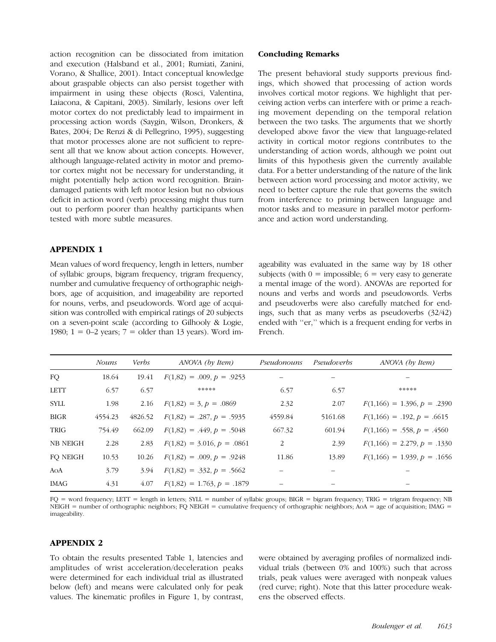action recognition can be dissociated from imitation and execution (Halsband et al., 2001; Rumiati, Zanini, Vorano, & Shallice, 2001). Intact conceptual knowledge about graspable objects can also persist together with impairment in using these objects (Rosci, Valentina, Laiacona, & Capitani, 2003). Similarly, lesions over left motor cortex do not predictably lead to impairment in processing action words (Saygin, Wilson, Dronkers, & Bates, 2004; De Renzi & di Pellegrino, 1995), suggesting that motor processes alone are not sufficient to represent all that we know about action concepts. However, although language-related activity in motor and premotor cortex might not be necessary for understanding, it might potentially help action word recognition. Braindamaged patients with left motor lesion but no obvious deficit in action word (verb) processing might thus turn out to perform poorer than healthy participants when tested with more subtle measures.

# APPENDIX 1

Mean values of word frequency, length in letters, number of syllabic groups, bigram frequency, trigram frequency, number and cumulative frequency of orthographic neighbors, age of acquisition, and imageability are reported for nouns, verbs, and pseudowords. Word age of acquisition was controlled with empirical ratings of 20 subjects on a seven-point scale (according to Gilhooly & Logie, 1980;  $1 = 0-2$  years;  $7 =$  older than 13 years). Word im-

## Concluding Remarks

The present behavioral study supports previous findings, which showed that processing of action words involves cortical motor regions. We highlight that perceiving action verbs can interfere with or prime a reaching movement depending on the temporal relation between the two tasks. The arguments that we shortly developed above favor the view that language-related activity in cortical motor regions contributes to the understanding of action words, although we point out limits of this hypothesis given the currently available data. For a better understanding of the nature of the link between action word processing and motor activity, we need to better capture the rule that governs the switch from interference to priming between language and motor tasks and to measure in parallel motor performance and action word understanding.

ageability was evaluated in the same way by 18 other subjects (with  $0 = \text{impossible}$ ;  $6 = \text{very easy to generate}$ a mental image of the word). ANOVAs are reported for nouns and verbs and words and pseudowords. Verbs and pseudoverbs were also carefully matched for endings, such that as many verbs as pseudoverbs (32/42) ended with ''er,'' which is a frequent ending for verbs in French.

|                 | <i>Nouns</i> | <b>Verbs</b> | ANOVA (by Item)              | Pseudonouns | Pseudoverbs | ANOVA (by Item)               |
|-----------------|--------------|--------------|------------------------------|-------------|-------------|-------------------------------|
| FQ.             | 18.64        | 19.41        | $F(1,82) = .009, p = .9253$  |             |             |                               |
| <b>LETT</b>     | 6.57         | 6.57         | *****                        | 6.57        | 6.57        | *****                         |
| <b>SYLL</b>     | 1.98         | 2.16         | $F(1,82) = 3, p = .0869$     | 2.32        | 2.07        | $F(1,166) = 1.396, p = .2390$ |
| <b>BIGR</b>     | 4554.23      | 4826.52      | $F(1,82) = .287, p = .5935$  | 4559.84     | 5161.68     | $F(1,166) = .192, p = .6615$  |
| TRIG            | 754.49       | 662.09       | $F(1,82) = .449, p = .5048$  | 667.32      | 601.94      | $F(1,166) = .558, p = .4560$  |
| <b>NB NEIGH</b> | 2.28         | 2.83         | $F(1,82) = 3.016, p = .0861$ | 2           | 2.39        | $F(1,166) = 2.279, p = .1330$ |
| FO NEIGH        | 10.53        | 10.26        | $F(1,82) = .009, p = .9248$  | 11.86       | 13.89       | $F(1,166) = 1.939, p = .1656$ |
| AOA             | 3.79         | 3.94         | $F(1,82) = .332, p = .5662$  |             |             |                               |
| IMAG            | 4.31         | 4.07         | $F(1,82) = 1.763, p = .1879$ |             |             |                               |

FQ = word frequency; LETT = length in letters; SYLL = number of syllabic groups; BIGR = bigram frequency; TRIG = trigram frequency; NB NEIGH = number of orthographic neighbors; FQ NEIGH = cumulative frequency of orthographic neighbors; AoA = age of acquisition; IMAG = imageability.

# APPENDIX 2

To obtain the results presented Table 1, latencies and amplitudes of wrist acceleration/deceleration peaks were determined for each individual trial as illustrated below (left) and means were calculated only for peak values. The kinematic profiles in Figure 1, by contrast,

were obtained by averaging profiles of normalized individual trials (between 0% and 100%) such that across trials, peak values were averaged with nonpeak values (red curve; right). Note that this latter procedure weakens the observed effects.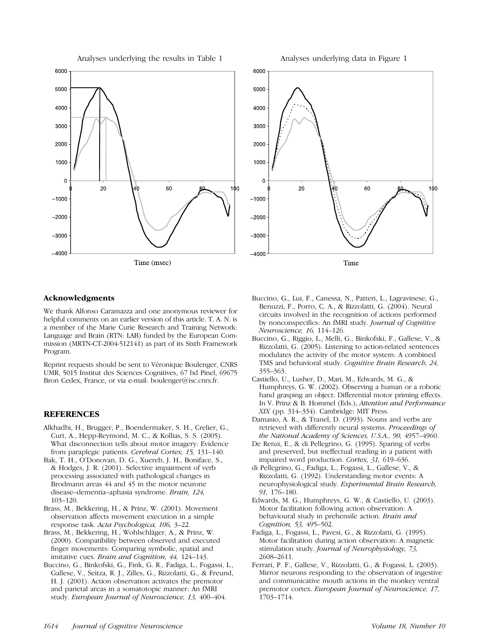







# Acknowledgments

We thank Alfonso Caramazza and one anonymous reviewer for helpful comments on an earlier version of this article. T. A. N. is a member of the Marie Curie Research and Training Network: Language and Brain (RTN: LAB) funded by the European Commission (MRTN-CT-2004-512141) as part of its Sixth Framework Program.

Reprint requests should be sent to Véronique Boulenger, CNRS UMR, 5015 Institut des Sciences Cognitives, 67 bd Pinel, 69675 Bron Cedex, France, or via e-mail: boulenger@isc.cnrs.fr.

# **REFERENCES**

- Alkhadhi, H., Brugger, P., Boendermaker, S. H., Crelier, G., Curt, A., Hepp-Reymond, M. C., & Kollias, S. S. (2005). What disconnection tells about motor imagery: Evidence from paraplegic patients. Cerebral Cortex, 15, 131–140.
- Bak, T. H., O'Donovan, D. G., Xuereb, J. H., Boniface, S., & Hodges, J. R. (2001). Selective impairment of verb processing associated with pathological changes in Brodmann areas 44 and 45 in the motor neurone disease–dementia–aphasia syndrome. Brain, 124, 103–120.
- Brass, M., Bekkering, H., & Prinz, W. (2001). Movement observation affects movement execution in a simple response task. Acta Psychologica, 106, 3–22.
- Brass, M., Bekkering, H., Wohlschläger, A., & Prinz, W. (2000). Compatibility between observed and executed finger movements: Comparing symbolic, spatial and imitative cues. Brain and Cognition, 44, 124–143.
- Buccino, G., Binkofski, G., Fink, G. R., Fadiga, L., Fogassi, L., Gallese, V., Seitza, R. J., Zilles, G., Rizzolatti, G., & Freund, H. J. (2001). Action observation activates the premotor and parietal areas in a somatotopic manner: An fMRI study. European Journal of Neuroscience, 13, 400–404.
- Buccino, G., Lui, F., Canessa, N., Patteri, L., Lagravinese, G., Benuzzi, F., Porro, C. A., & Rizzolatti, G. (2004). Neural circuits involved in the recognition of actions performed by nonconspecifics: An fMRI study. Journal of Cognitive Neuroscience, 16, 114–126.
- Buccino, G., Riggio, L., Melli, G., Binkofski, F., Gallese, V., & Rizzolatti, G. (2005). Listening to action-related sentences modulates the activity of the motor system: A combined TMS and behavioral study. Cognitive Brain Research, 24, 355–363.
- Castiello, U., Lusher, D., Mari, M., Edwards, M. G., & Humphreys, G. W. (2002). Observing a human or a robotic hand grasping an object: Differential motor priming effects. In V. Prinz & B. Hommel (Eds.), Attention and Performance XIX (pp. 314–334). Cambridge: MIT Press.
- Damasio, A. R., & Tranel, D. (1993). Nouns and verbs are retrieved with differently neural systems. Proceedings of the National Academy of Sciences, U.S.A., 90, 4957–4960.
- De Renzi, E., & di Pellegrino, G. (1995). Sparing of verbs and preserved, but ineffectual reading in a patient with impaired word production. Cortex, 31, 619–636.
- di Pellegrino, G., Fadiga, L., Fogassi, L., Gallese, V., & Rizzolatti, G. (1992). Understanding motor events: A neurophysiological study. Experimental Brain Research, 91, 176–180.
- Edwards, M. G., Humphreys, G. W., & Castiello, U. (2003). Motor facilitation following action observation: A behavioural study in prehensile action. Brain and Cognition, 53, 495–502.
- Fadiga, L., Fogassi, L., Pavesi, G., & Rizzolatti, G. (1995). Motor facilitation during action observation: A magnetic stimulation study. Journal of Neurophysiology, 73, 2608–2611.
- Ferrari, P. F., Gallese, V., Rizzolatti, G., & Fogassi, L. (2003). Mirror neurons responding to the observation of ingestive and communicative mouth actions in the monkey ventral premotor cortex. European Journal of Neuroscience, 17, 1703–1714.